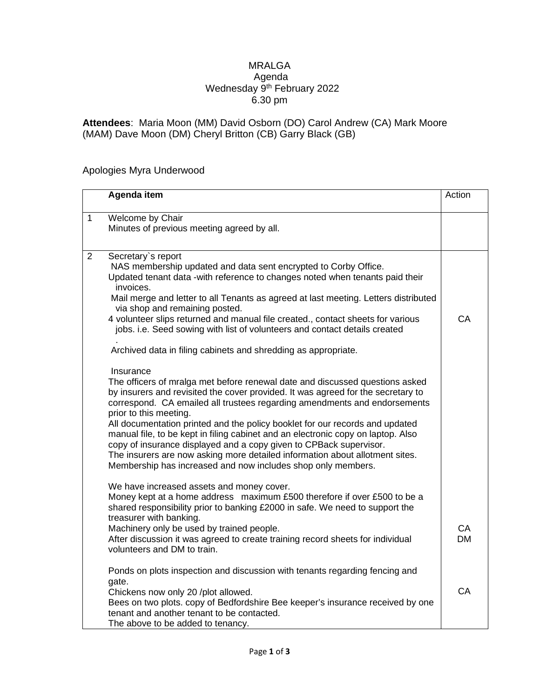## MRALGA Agenda Wednesday 9<sup>th</sup> February 2022 6.30 pm

**Attendees**: Maria Moon (MM) David Osborn (DO) Carol Andrew (CA) Mark Moore (MAM) Dave Moon (DM) Cheryl Britton (CB) Garry Black (GB)

## Apologies Myra Underwood

|                | Agenda item                                                                                                                                                                                                                                                                                                                                                                                                                                                                                                                                                                                                                                                                                                                                                                                   | Action          |
|----------------|-----------------------------------------------------------------------------------------------------------------------------------------------------------------------------------------------------------------------------------------------------------------------------------------------------------------------------------------------------------------------------------------------------------------------------------------------------------------------------------------------------------------------------------------------------------------------------------------------------------------------------------------------------------------------------------------------------------------------------------------------------------------------------------------------|-----------------|
| $\mathbf{1}$   | Welcome by Chair<br>Minutes of previous meeting agreed by all.                                                                                                                                                                                                                                                                                                                                                                                                                                                                                                                                                                                                                                                                                                                                |                 |
| $\overline{2}$ | Secretary's report<br>NAS membership updated and data sent encrypted to Corby Office.<br>Updated tenant data -with reference to changes noted when tenants paid their<br>invoices.<br>Mail merge and letter to all Tenants as agreed at last meeting. Letters distributed<br>via shop and remaining posted.<br>4 volunteer slips returned and manual file created., contact sheets for various<br>jobs. i.e. Seed sowing with list of volunteers and contact details created                                                                                                                                                                                                                                                                                                                  | CA              |
|                | Archived data in filing cabinets and shredding as appropriate.<br>Insurance<br>The officers of mralga met before renewal date and discussed questions asked<br>by insurers and revisited the cover provided. It was agreed for the secretary to<br>correspond. CA emailed all trustees regarding amendments and endorsements<br>prior to this meeting.<br>All documentation printed and the policy booklet for our records and updated<br>manual file, to be kept in filing cabinet and an electronic copy on laptop. Also<br>copy of insurance displayed and a copy given to CPBack supervisor.<br>The insurers are now asking more detailed information about allotment sites.<br>Membership has increased and now includes shop only members.<br>We have increased assets and money cover. |                 |
|                | Money kept at a home address maximum £500 therefore if over £500 to be a<br>shared responsibility prior to banking £2000 in safe. We need to support the<br>treasurer with banking.<br>Machinery only be used by trained people.<br>After discussion it was agreed to create training record sheets for individual<br>volunteers and DM to train.                                                                                                                                                                                                                                                                                                                                                                                                                                             | CA<br><b>DM</b> |
|                | Ponds on plots inspection and discussion with tenants regarding fencing and<br>gate.<br>Chickens now only 20 /plot allowed.<br>Bees on two plots. copy of Bedfordshire Bee keeper's insurance received by one<br>tenant and another tenant to be contacted.<br>The above to be added to tenancy.                                                                                                                                                                                                                                                                                                                                                                                                                                                                                              | CA              |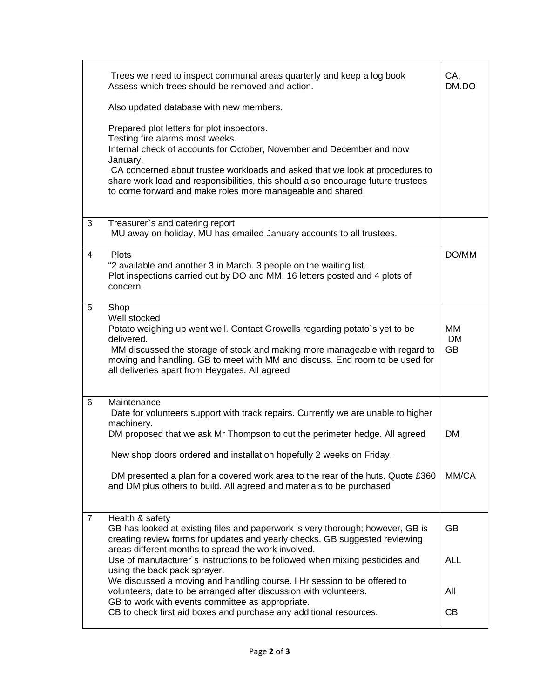| Trees we need to inspect communal areas quarterly and keep a log book<br>Assess which trees should be removed and action.                                                                                                                                                                                                                                                                            | CA,<br>DM.DO                 |
|------------------------------------------------------------------------------------------------------------------------------------------------------------------------------------------------------------------------------------------------------------------------------------------------------------------------------------------------------------------------------------------------------|------------------------------|
| Also updated database with new members.                                                                                                                                                                                                                                                                                                                                                              |                              |
| Prepared plot letters for plot inspectors.<br>Testing fire alarms most weeks.<br>Internal check of accounts for October, November and December and now<br>January.<br>CA concerned about trustee workloads and asked that we look at procedures to<br>share work load and responsibilities, this should also encourage future trustees<br>to come forward and make roles more manageable and shared. |                              |
| Treasurer's and catering report<br>3<br>MU away on holiday. MU has emailed January accounts to all trustees.                                                                                                                                                                                                                                                                                         |                              |
| $\overline{4}$<br><b>Plots</b><br>"2 available and another 3 in March. 3 people on the waiting list.<br>Plot inspections carried out by DO and MM. 16 letters posted and 4 plots of<br>concern.                                                                                                                                                                                                      | DO/MM                        |
| 5<br>Shop<br>Well stocked<br>Potato weighing up went well. Contact Growells regarding potato's yet to be<br>delivered.<br>MM discussed the storage of stock and making more manageable with regard to<br>moving and handling. GB to meet with MM and discuss. End room to be used for<br>all deliveries apart from Heygates. All agreed                                                              | MМ<br><b>DM</b><br><b>GB</b> |
| 6<br>Maintenance<br>Date for volunteers support with track repairs. Currently we are unable to higher<br>machinery.<br>DM proposed that we ask Mr Thompson to cut the perimeter hedge. All agreed<br>New shop doors ordered and installation hopefully 2 weeks on Friday.<br>DM presented a plan for a covered work area to the rear of the huts. Quote £360                                         | <b>DM</b><br>MM/CA           |
| and DM plus others to build. All agreed and materials to be purchased                                                                                                                                                                                                                                                                                                                                |                              |
| Health & safety<br>$\overline{7}$<br>GB has looked at existing files and paperwork is very thorough; however, GB is<br>creating review forms for updates and yearly checks. GB suggested reviewing<br>areas different months to spread the work involved.                                                                                                                                            | GВ                           |
| Use of manufacturer's instructions to be followed when mixing pesticides and<br>using the back pack sprayer.<br>We discussed a moving and handling course. I Hr session to be offered to                                                                                                                                                                                                             | <b>ALL</b>                   |
| volunteers, date to be arranged after discussion with volunteers.<br>GB to work with events committee as appropriate.                                                                                                                                                                                                                                                                                | All                          |
| CB to check first aid boxes and purchase any additional resources.                                                                                                                                                                                                                                                                                                                                   | <b>CB</b>                    |
|                                                                                                                                                                                                                                                                                                                                                                                                      |                              |
|                                                                                                                                                                                                                                                                                                                                                                                                      |                              |